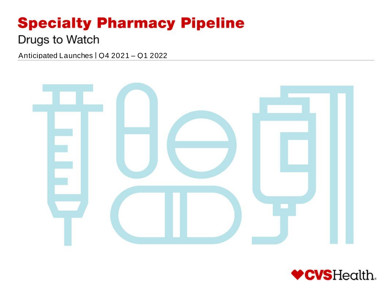# **Specialty Pharmacy Pipeline**

# Drugs to Watch

Anticipated Launches | Q4 2021 – Q1 2022



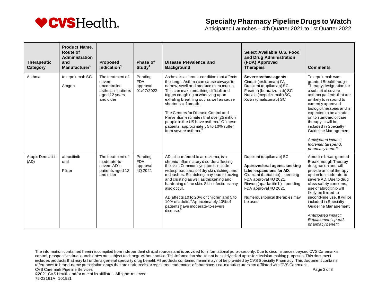

Anticipated Launches – 4th Quarter 2021 to 1st Quarter 2022

| <b>Therapeutic</b><br>Category   | <b>Product Name,</b><br>Route of<br><b>Administration</b><br>and<br>Manufacturer <sup>1</sup> | <b>Proposed</b><br>Indication $1$                                                              | Phase of<br>Study <sup>1</sup>                  | Disease Prevalence and<br><b>Background</b>                                                                                                                                                                                                                                                                                                                                                                                                                                                   | Select Available U.S. Food<br>and Drug Administration<br>(FDA) Approved<br><b>Therapies</b>                                                                                                                                                              | <b>Comments</b>                                                                                                                                                                                                                                                                                                                                                                                 |
|----------------------------------|-----------------------------------------------------------------------------------------------|------------------------------------------------------------------------------------------------|-------------------------------------------------|-----------------------------------------------------------------------------------------------------------------------------------------------------------------------------------------------------------------------------------------------------------------------------------------------------------------------------------------------------------------------------------------------------------------------------------------------------------------------------------------------|----------------------------------------------------------------------------------------------------------------------------------------------------------------------------------------------------------------------------------------------------------|-------------------------------------------------------------------------------------------------------------------------------------------------------------------------------------------------------------------------------------------------------------------------------------------------------------------------------------------------------------------------------------------------|
| Asthma                           | tezepelumab SC<br>Amgen                                                                       | The treatment of<br>severe<br>uncontrolled<br>asthma in patients<br>aged 12 years<br>and older | Pending<br><b>FDA</b><br>approval<br>01/07/2022 | Asthma is a chronic condition that affects<br>the lungs. Asthma can cause airways to<br>narrow, swell and produce extra mucus.<br>This can make breathing difficult and<br>trigger coughing or wheezing upon<br>exhaling breathing out, as well as cause<br>shortness of breath.<br>The Centers for Disease Control and<br>Prevention estimates that over 25 million<br>people in the US have asthma. <sup>2</sup> Of these<br>patients, approximately 5 to 10% suffer<br>from severe asthma. | Severe asthma agents:<br>Cingair (reslizumab) IV,<br>Dupixent (dupilumab) SC,<br>Fasenra (benralizumab) SC.<br>Nucala (mepolizumab) SC,<br>Xolair (omalizumab) SC                                                                                        | Tezepelumab was<br>granted Breakthrough<br>Therapy designation for<br>a subset of severe<br>asthma patients that are<br>unlikely to respond to<br>currently approved<br>biologic therapies and is<br>expected to be an add-<br>on to standard of care<br>therapy. It will be<br>included in Specialty<br>Guideline Management.<br>Anticipated impact:<br>Incremental spend.<br>pharmacy benefit |
| <b>Atopic Dermatitis</b><br>(AD) | abrocitinib<br>oral<br>Pfizer                                                                 | The treatment of<br>moderate-to-<br>severe AD in<br>patients aged 12<br>and older              | Pending<br><b>FDA</b><br>approval<br>4Q 2021    | AD, also referred to as eczema, is a<br>chronic inflammatory disorder affecting<br>the skin. Common symptoms include<br>widespread areas of dry skin, itching, and<br>red rashes. Scratching may lead to oozing<br>and crusting as well as thickening and<br>hardening of the skin. Skin infections may<br>also occur.<br>AD affects 10 to 20% of children and 5 to<br>10% of adults. <sup>4</sup> Approximately 40% of<br>patients have moderate-to-severe<br>disease. <sup>5</sup>          | Dupixent (dupilumab) SC<br>Approved oral agents seeking<br>label expansions for AD:<br>Olumiant (baricitinib) - pending<br>FDA approval 4Q 2021,<br>Rinvoq (upadacitinib) - pending<br>FDA approval 4Q 2021<br>Numerous topical therapies may<br>be used | Abrocitinib was granted<br><b>Breakthrough Therapy</b><br>designation and will<br>provide an oral therapy<br>option for moderate-to-<br>severe AD. Due to drug<br>class safety concerns,<br>use of abrocitinib will<br>likely be limited to<br>second-line use. It will be<br>included in Specialty<br>Guideline Management.<br>Anticipated impact:<br>Replacement spend,<br>pharmacy benefit   |

The information contained herein is compiled from independent clinical sources and is provided for informational purp oses only. Due to circumstances beyond CVS Caremark's control, prospective drug launch dates are subject to change without notice. This information should not be solely relied upo n for decision-making purposes. This document includes products that may fall under a general specialty drug benefit. All products contained herein may not be provided by CVS Specialty Pharmacy. This document contains references to brand-name prescription drugs that are trademarks or registered trademarks of pharmaceutical manufacturers not affiliated with CVS Caremark. CVS Caremark Pipeline Services **Page 2 of 8** and 2 of 8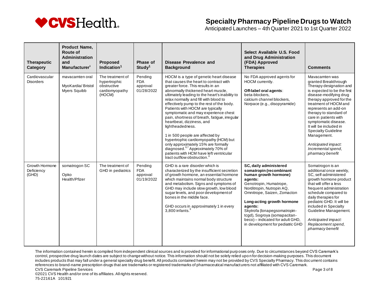

Anticipated Launches – 4th Quarter 2021 to 1st Quarter 2022

| <b>Therapeutic</b><br>Category        | <b>Product Name,</b><br>Route of<br>Administration<br>and<br>Manufacturer <sup>1</sup> | <b>Proposed</b><br>Indication $1$                                           | Phase of<br>Study <sup>1</sup>                  | Disease Prevalence and<br><b>Background</b>                                                                                                                                                                                                                                                                                                                                                                                                                                                                                                                                                                                                                                                                                      | Select Available U.S. Food<br>and Drug Administration<br>(FDA) Approved<br><b>Therapies</b>                                                                                                                                                                                                                                                                  | <b>Comments</b>                                                                                                                                                                                                                                                                                                                                                                                                            |
|---------------------------------------|----------------------------------------------------------------------------------------|-----------------------------------------------------------------------------|-------------------------------------------------|----------------------------------------------------------------------------------------------------------------------------------------------------------------------------------------------------------------------------------------------------------------------------------------------------------------------------------------------------------------------------------------------------------------------------------------------------------------------------------------------------------------------------------------------------------------------------------------------------------------------------------------------------------------------------------------------------------------------------------|--------------------------------------------------------------------------------------------------------------------------------------------------------------------------------------------------------------------------------------------------------------------------------------------------------------------------------------------------------------|----------------------------------------------------------------------------------------------------------------------------------------------------------------------------------------------------------------------------------------------------------------------------------------------------------------------------------------------------------------------------------------------------------------------------|
| Cardiovascular<br><b>Disorders</b>    | mavacamten oral<br>MyoKardia/Bristol<br>Myers Squibb                                   | The treatment of<br>hypertrophic<br>obstructive<br>cardiomyopathy<br>(HOCM) | Pending<br><b>FDA</b><br>approval<br>01/28/2022 | HOCM is a type of genetic heart disease<br>that causes the heart to contract with<br>greater force. This results in an<br>abnormally thickened heart muscle,<br>ultimately leading to the heart's inability to<br>relax normally and fill with blood to<br>effectively pump to the rest of the body.<br>Patients with HOCM are typically<br>symptomatic and may experience chest<br>pain, shortness of breath, fatique, irreqular<br>heartbeat, dizziness, and<br>lightheadedness.<br>1 in 500 people are affected by<br>hypertrophic cardiomyopathy (HCM) but<br>only approximately 15% are formally<br>diagnosed. <sup>6,7</sup> Approximately 70% of<br>patients with HCM have left ventricular<br>tract outflow obstruction. | No FDA approved agents for<br>HOCM currently.<br>Off-label oral agents:<br>beta-blockers,<br>calcium channel blockers,<br>Norpace (e.g., disopyramide)                                                                                                                                                                                                       | Mavacamten was<br>granted Breakthrough<br>Therapy designation and<br>is expected to be the first<br>disease-modifying drug<br>therapy approved for the<br>treatment of HOCM and<br>represents an add-on<br>therapy to standard of<br>care in patients with<br>symptomatic disease.<br>It will be included in<br><b>Specialty Guideline</b><br>Management.<br>Anticipated impact:<br>Incremental spend.<br>pharmacy benefit |
| Growth Hormone<br>Deficiency<br>(GHD) | somatrogon SC<br>Opko<br>Health/Pfizer                                                 | The treatment of<br>GHD in pediatrics                                       | Pending<br><b>FDA</b><br>approval<br>01/19/2022 | GHD is a rare disorder which is<br>characterized by the insufficient secretion<br>of growth hormone, an essential hormone<br>which maintains normal body structure<br>and metabolism. Signs and symptoms of<br>GHD may include slow growth, low blood<br>sugar levels, and poor development of<br>bones in the middle face.<br>GHD occurs in approximately 1 in every<br>$3,800$ infants.                                                                                                                                                                                                                                                                                                                                        | SC, daily administered<br>somatropin (recombinant<br>human growth hormone)<br>agents:<br>Genotropin, Humatrope,<br>Norditropin, Nutropin AQ,<br>Omnitrope, Saizen, Zomacton<br>Long-acting growth hormone<br>agents:<br>Skytrofa (lonapegsomatropin-<br>tcgd), Sogroya (somapacitan-<br>beco) - indicated for adult GHD,<br>in development for pediatric GHD | Somatrogon is an<br>additional once weekly.<br>SC, self-administered<br>growth hormone product<br>that will offer a less<br>frequent administration<br>schedule compared to<br>daily therapies for<br>pediatric GHD. It will be<br>included in Specialty<br>Guideline Management.<br>Anticipated impact:<br>Replacement spend,<br>pharmacy benefit                                                                         |

The information contained herein is compiled from independent clinical sources and is provided for informational purp oses only. Due to circumstances beyond CVS Caremark's control, prospective drug launch dates are subject to change without notice. This information should not be solely relied upo n for decision-making purposes. This document includes products that may fall under a general specialty drug benefit. All products contained herein may not be provided by CVS Specialty Pharmacy. This document contains references to brand-name prescription drugs that are trademarks or registered trademarks of pharmaceutical manufacturers not affiliated with CVS Caremark. CVS Caremark Pipeline Services **Page 3 of 8** and 2 of 8 and 2 of 8 and 2 of 8 and 2 of 8 and 2 of 8 and 2 of 8 and 2 of 8 and 2 of 8 and 2 of 8 and 2 of 8 and 2 of 8 and 2 of 8 and 2 of 8 and 2 of 8 and 2 of 8 and 2 of 8 a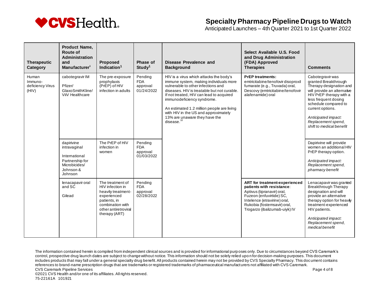

Anticipated Launches – 4th Quarter 2021 to 1st Quarter 2022

| <b>Therapeutic</b><br>Category                | <b>Product Name,</b><br><b>Route of</b><br>Administration<br>and<br>Manufacturer <sup>1</sup>           | <b>Proposed</b><br>Indication <sup>1</sup>                                                                                                             | <b>Phase of</b><br>Study <sup>1</sup>           | Disease Prevalence and<br><b>Background</b>                                                                                                                                                                                                                                                                                                                                             | Select Available U.S. Food<br>and Drug Administration<br>(FDA) Approved<br><b>Therapies</b>                                                                                                                          | <b>Comments</b>                                                                                                                                                                                                                                                            |
|-----------------------------------------------|---------------------------------------------------------------------------------------------------------|--------------------------------------------------------------------------------------------------------------------------------------------------------|-------------------------------------------------|-----------------------------------------------------------------------------------------------------------------------------------------------------------------------------------------------------------------------------------------------------------------------------------------------------------------------------------------------------------------------------------------|----------------------------------------------------------------------------------------------------------------------------------------------------------------------------------------------------------------------|----------------------------------------------------------------------------------------------------------------------------------------------------------------------------------------------------------------------------------------------------------------------------|
| Human<br>Immuno-<br>deficiency Virus<br>(HIV) | cabotegravir IM<br>Pfizer/<br>GlaxoSmithKline/<br>ViiV Healthcare                                       | The pre-exposure<br>prophylaxis<br>(PrEP) of HIV<br>infection in adults                                                                                | Pending<br><b>FDA</b><br>approval<br>01/24/2022 | HIV is a virus which attacks the body's<br>immune system, making individuals more<br>vulnerable to other infections and<br>diseases. HIV is treatable but not curable.<br>If not treated, HIV can lead to acquired<br>immunodeficiency syndrome.<br>An estimated 1.2 million people are living<br>with HIV in the US and approximately<br>13% are unaware they have the<br>disease. $1$ | <b>PrEP</b> treatments:<br>emtricitabine/tenofovir disoproxil<br>fumarate (e.g., Truvada) oral,<br>Descovy (emtricitabine/tenofovir<br>alafenamide) oral                                                             | Cabotegravir was<br>granted Breakthrough<br>Therapy designation and<br>will provide an alternative<br>HIV PrEP therapy with a<br>less frequent dosing<br>schedule compared to<br>current options.<br>Anticipated impact:<br>Replacement spend,<br>shift to medical benefit |
|                                               | dapirivine<br>intravaginal<br>International<br>Partnership for<br>Microbicides/<br>Johnson &<br>Johnson | The PrEP of HIV<br>infection in<br>women                                                                                                               | Pending<br><b>FDA</b><br>approval<br>01/03/2022 |                                                                                                                                                                                                                                                                                                                                                                                         |                                                                                                                                                                                                                      | Dapirivine will provide<br>women an additional HIV<br>PrEP therapy option.<br>Anticipated impact:<br>Replacement spend,<br>pharmacy benefit                                                                                                                                |
|                                               | lenacapavir oral<br>and SC<br>Gilead                                                                    | The treatment of<br>HIV infection in<br>heavily treatment-<br>experienced<br>patients, in<br>combination with<br>other antiretroviral<br>therapy (ART) | Pending<br><b>FDA</b><br>approval<br>02/28/2022 |                                                                                                                                                                                                                                                                                                                                                                                         | ART for treatment-experienced<br>patients with resistance:<br>Aptivus (tipranavir) oral,<br>Fuzeon (enfuvirtide) SC,<br>Intelence (etravirine) oral,<br>Rukobia (fostemsavir) oral,<br>Trogarzo (ibalizumab-uiyk) IV | Lenacapavir was granted<br>Breakthrough Therapy<br>designation and will<br>provide an alternative<br>therapy option for heavily<br>treatment-experienced<br>HIV patients.<br>Anticipated impact:<br>Replacement spend,<br>medical benefit                                  |

The information contained herein is compiled from independent clinical sources and is provided for informational purp oses only. Due to circumstances beyond CVS Caremark's control, prospective drug launch dates are subject to change without notice. This information should not be solely relied upo n for decision-making purposes. This document includes products that may fall under a general specialty drug benefit. All products contained herein may not be provided by CVS Specialty Pharmacy. This document contains references to brand-name prescription drugs that are trademarks or registered trademarks of pharmaceutical manufacturers not affiliated with CVS Caremark. CVS Caremark Pipeline Services **Page 4 of 8** and 2008 to 2009 the service of 8 and 2009 to 2009 the 2009 to 2009 the 2009 to 2009 the 2009 to 2009 the 2009 to 2009 the 2009 to 2009 the 2009 to 2009 the 2009 to 2009 the 200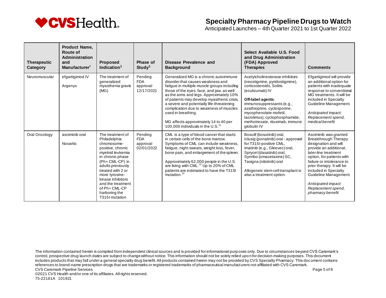

Anticipated Launches – 4th Quarter 2021 to 1st Quarter 2022

| <b>Therapeutic</b><br>Category | <b>Product Name.</b><br>Route of<br>Administration<br>and<br>Manufacturer <sup>1</sup> | <b>Proposed</b><br>Indication $1$                                                                                                                                                                                                                                                        | Phase of<br>Study <sup>1</sup>                  | Disease Prevalence and<br><b>Background</b>                                                                                                                                                                                                                                                                                                                                                                                                                    | Select Available U.S. Food<br>and Drug Administration<br>(FDA) Approved<br><b>Therapies</b>                                                                                                                                                                                                                     | <b>Comments</b>                                                                                                                                                                                                                                                                                                                   |
|--------------------------------|----------------------------------------------------------------------------------------|------------------------------------------------------------------------------------------------------------------------------------------------------------------------------------------------------------------------------------------------------------------------------------------|-------------------------------------------------|----------------------------------------------------------------------------------------------------------------------------------------------------------------------------------------------------------------------------------------------------------------------------------------------------------------------------------------------------------------------------------------------------------------------------------------------------------------|-----------------------------------------------------------------------------------------------------------------------------------------------------------------------------------------------------------------------------------------------------------------------------------------------------------------|-----------------------------------------------------------------------------------------------------------------------------------------------------------------------------------------------------------------------------------------------------------------------------------------------------------------------------------|
| Neuromuscular                  | efgartigimod IV<br>Argenyx                                                             | The treatment of<br>generalized<br>myasthenia gravis<br>(MG)                                                                                                                                                                                                                             | Pending<br><b>FDA</b><br>approval<br>12/17/2021 | Generalized MG is a chronic autoimmune<br>disorder that causes weakness and<br>fatigue in multiple muscle groups including<br>those of the eyes, face, and jaw, as well<br>as the arms and legs. Approximately 10%<br>of patients may develop myasthenic crisis,<br>a severe and potentially life-threatening<br>complication due to weakness of muscles<br>used in breathing.<br>MG affects approximately 14 to 40 per<br>100.000 individuals in the $U.S.11$ | Acetylcholinesterase inhibitors<br>(neostigmine, pyridostigmine),<br>corticosteroids, Soliris<br>(eculizumab) IV<br>Off-label agents:<br>immunosuppressants (e.g.,<br>azathioprine, cyclosporine,<br>mycophenolate mofetil,<br>tacrolimus), cyclophosphamide,<br>methotrexate, rituximab, immune<br>globulin IV | Efgartigimod will provide<br>an additional option for<br>patients with inadequate<br>response to conventional<br>MG treatments. It will be<br>included in Specialty<br>Guideline Management.<br>Anticipated impact:<br>Replacement spend,<br>medical benefit                                                                      |
| Oral Oncology                  | asciminib oral<br>Novartis                                                             | The treatment of<br>Philadelphia<br>chromosome-<br>positive, chronic<br>myeloid leukemia<br>in chronic phase<br>(Ph+CML-CP) in<br>adults previously<br>treated with 2 or<br>more tyrosine-<br>kinase inhibitors<br>and the treatment<br>of Ph+ CML-CP<br>harboring the<br>T315I mutation | Pending<br><b>FDA</b><br>approval<br>02/01/2022 | CML is a type of blood cancer that starts<br>in certain cells of the bone marrow.<br>Symptoms of CML can include weakness,<br>fatigue, night sweats, weight loss, fever,<br>bone pain, and enlargement of the spleen.<br>Approximately 62,000 people in the U.S.<br>are living with CML. <sup>12</sup> Up to 20% of CML<br>patients are estimated to have the T315I<br>mutation. <sup>1</sup>                                                                  | Bosulif (bosutinib) oral,<br>Iclusig (ponatinib) oral - approved<br>for T315I-positive CML,<br>imatinib (e.g., Gleevec) oral,<br>Sprycel (dasatinib) oral,<br>Synribo (omacetaxine) SC,<br>Tasigna (nilotinib) oral<br>Allogeneic stem cell transplant is<br>also a treatment option.                           | Asciminib was granted<br>Breakthrough Therapy<br>designation and will<br>provide an additional,<br>later-line treatment<br>option, for patients with<br>failure or intolerance to<br>prior therapy. It will be<br>included in Specialty<br>Guideline Management.<br>Anticipated impact:<br>Replacement spend,<br>pharmacy benefit |

The information contained herein is compiled from independent clinical sources and is provided for informational purp oses only. Due to circumstances beyond CVS Caremark's control, prospective drug launch dates are subject to change without notice. This information should not be solely relied upo n for decision-making purposes. This document includes products that may fall under a general specialty drug benefit. All products contained herein may not be provided by CVS Specialty Pharmacy. This document contains references to brand-name prescription drugs that are trademarks or registered trademarks of pharmaceutical manufacturers not affiliated with CVS Caremark. CVS Caremark Pipeline Services **Page 5 of 8** and the service of 8 and the service page 5 of 8 and the services page 5 of 8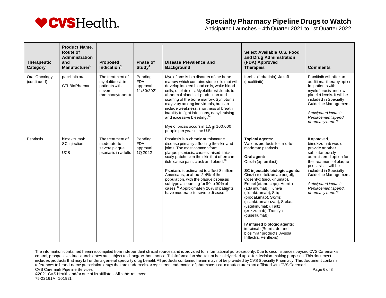

Anticipated Launches – 4th Quarter 2021 to 1st Quarter 2022

| <b>Therapeutic</b><br>Category | <b>Product Name,</b><br><b>Route of</b><br>Administration<br>and<br>Manufacturer <sup>1</sup> | <b>Proposed</b><br>Indication $1$                                                   | Phase of<br>Study <sup>1</sup>                  | Disease Prevalence and<br><b>Background</b>                                                                                                                                                                                                                                                                                                                                                                                                                                                                                        | Select Available U.S. Food<br>and Drug Administration<br>(FDA) Approved<br><b>Therapies</b>                                                                                                                                                                                                                                                                                                                                                                                                                                                     | <b>Comments</b>                                                                                                                                                                                                                                                          |
|--------------------------------|-----------------------------------------------------------------------------------------------|-------------------------------------------------------------------------------------|-------------------------------------------------|------------------------------------------------------------------------------------------------------------------------------------------------------------------------------------------------------------------------------------------------------------------------------------------------------------------------------------------------------------------------------------------------------------------------------------------------------------------------------------------------------------------------------------|-------------------------------------------------------------------------------------------------------------------------------------------------------------------------------------------------------------------------------------------------------------------------------------------------------------------------------------------------------------------------------------------------------------------------------------------------------------------------------------------------------------------------------------------------|--------------------------------------------------------------------------------------------------------------------------------------------------------------------------------------------------------------------------------------------------------------------------|
| Oral Oncology<br>(continued)   | pacritinib oral<br>CTI BioPharma                                                              | The treatment of<br>mvelofibrosis in<br>patients with<br>severe<br>thrombocytopenia | Pending<br><b>FDA</b><br>approval<br>11/30/2021 | Myelofibrosis is a disorder of the bone<br>marrow which contains stem cells that will<br>develop into red blood cells, white blood<br>cells, or platelets. Myelofibrosis leads to<br>abnormal blood cell production and<br>scarring of the bone marrow. Symptoms<br>may vary among individuals, but can<br>include weakness, shortness of breath,<br>inability to fight infections, easy bruising,<br>and excessive bleeding. <sup>14</sup><br>Myelofibrosis occurs in 1.5 in 100,000<br>people per year in the U.S. <sup>15</sup> | Inrebic (fedratinib), Jakafi<br>(ruxolitinib)                                                                                                                                                                                                                                                                                                                                                                                                                                                                                                   | Pacritinib will offer an<br>additional therapy option<br>for patients with<br>myelofibrosis and low<br>platelet levels. It will be<br>included in Specialty<br>Guideline Management.<br>Anticipated impact:<br>Replacement spend,<br>pharmacy benefit                    |
| Psoriasis                      | bimekizumab<br>SC injection<br><b>UCB</b>                                                     | The treatment of<br>moderate-to-<br>severe plaque<br>psoriasis in adults            | Pending<br><b>FDA</b><br>approval<br>1Q 2022    | Psoriasis is a chronic autoimmune<br>disease primarily affecting the skin and<br>joints. The most common form,<br>plaque psoriasis, causes raised, thick,<br>scaly patches on the skin that often can<br>itch, cause pain, crack and bleed. <sup>16</sup><br>Psoriasis is estimated to affect 8 million<br>Americans, or about 2.4% of the<br>population, with the plaque psoriasis<br>subtype accounting for 80 to 90% of<br>cases. <sup>17</sup> Approximately 20% of patients<br>have moderate-to-severe disease.               | <b>Topical agents:</b><br>Various products for mild-to-<br>moderate psoriasis<br>Oral agent:<br>Otezla (apremilast)<br>SC injectable biologic agents:<br>Cimzia (certolizumab pegol),<br>Cosentyx (secukinumab),<br>Enbrel (etanercept), Humira<br>(adalimumab), Ilumya<br>(tildrakizumab), Siliq<br>(brodalumab), Skyrizi<br>(risankizumab-rzaa), Stelara<br>(ustekinumab), Taltz<br>(ixekizumab), Tremfya<br>(quselkumab)<br>IV infused biologic agents:<br>infliximab (Remicade and<br>biosimilar products: Avsola,<br>Inflectra, Renflexis) | If approved,<br>bimekizumab would<br>provide another<br>subcutaneously<br>administered option for<br>the treatment of plaque<br>psoriasis. It will be<br>included in Specialty<br>Guideline Management.<br>Anticipated impact:<br>Replacement spend,<br>pharmacy benefit |

The information contained herein is compiled from independent clinical sources and is provided for informational purp oses only. Due to circumstances beyond CVS Caremark's control, prospective drug launch dates are subject to change without notice. This information should not be solely relied upo n for decision-making purposes. This document includes products that may fall under a general specialty drug benefit. All products contained herein may not be provided by CVS Specialty Pharmacy. This document contains references to brand-name prescription drugs that are trademarks or registered trademarks of pharmaceutical manufacturers not affiliated with CVS Caremark. CVS Caremark Pipeline Services **Page 6 of 8** and the service of 8 and the service page 6 of 8 and the services page 6 of 8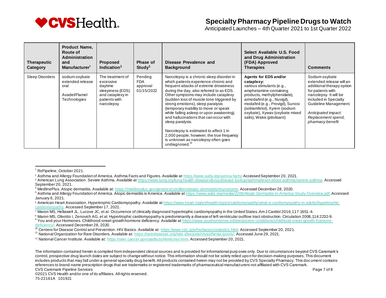

Anticipated Launches – 4th Quarter 2021 to 1st Quarter 2022

| <b>Therapeutic</b><br>Category | <b>Product Name,</b><br>Route of<br><b>Administration</b><br>and<br>Manufacturer <sup>1</sup> | <b>Proposed</b><br>Indication <sup>1</sup>                                                                      | Phase of<br>Study <sup>1</sup>                  | Disease Prevalence and<br><b>Background</b>                                                                                                                                                                                                                                                                                                                                                                                                                                                                                                                                                                       | Select Available U.S. Food<br>and Drug Administration<br>(FDA) Approved<br><b>Therapies</b>                                                                                                                                                                                                      | <b>Comments</b>                                                                                                                                                                                                                           |
|--------------------------------|-----------------------------------------------------------------------------------------------|-----------------------------------------------------------------------------------------------------------------|-------------------------------------------------|-------------------------------------------------------------------------------------------------------------------------------------------------------------------------------------------------------------------------------------------------------------------------------------------------------------------------------------------------------------------------------------------------------------------------------------------------------------------------------------------------------------------------------------------------------------------------------------------------------------------|--------------------------------------------------------------------------------------------------------------------------------------------------------------------------------------------------------------------------------------------------------------------------------------------------|-------------------------------------------------------------------------------------------------------------------------------------------------------------------------------------------------------------------------------------------|
| Sleep Disorders                | sodium oxybate<br>extended release<br>oral<br>Avadel/Flamel<br>Technologies                   | The treatment of<br>excessive<br>daytime<br>sleepiness (EDS)<br>and cataplexy in<br>patients with<br>narcolepsy | Pending<br><b>FDA</b><br>approval<br>01/15/2022 | Narcolepsy is a chronic sleep disorder in<br>which patients experience chronic and<br>frequent attacks of extreme drowsiness<br>during the day, also referred to as EDS.<br>Other symptoms may include cataplexy<br>(sudden loss of muscle tone triggered by<br>strong emotions), sleep paralysis<br>(temporary inability to move or speak)<br>while falling asleep or upon awakening),<br>and hallucinations that can occur with<br>sleep paralysis.<br>Narcolepsy is estimated to affect 1 in<br>2,000 people; however, the true frequency<br>is unknown as narcolepsy often goes<br>undiagnosed. <sup>19</sup> | Agents for EDS and/or<br>cataplexy:<br>various stimulants (e.g.,<br>amphetamine-containing<br>products, methylphenidate),<br>armodafinil (e.g., Nuvigil),<br>modafinil (e.g., Provigil), Sunosi<br>(solriamfetol), Xyrem (sodium<br>oxybate), Xyway (oxybate mixed<br>salts), Wakix (pitolisant) | Sodium oxybate<br>extended release will an<br>additional therapy option<br>for patients with<br>narcolepsy. It will be<br>included in Specialty<br>Guideline Management.<br>Anticipated impact:<br>Replacement spend,<br>pharmacy benefit |

- <sup>2</sup> Asthma and Allergy Foundation of America. Asthma Facts and Figures. Available a[t https://www.aafa.org/](https://www.aafa.org/asthma-facts/)asthma-facts/ Accessed September 20, 2021.
- 3 American Lung Association. Severe Asthma. Available a[t https://www.lung.org/lung-health-diseases/lung-disease-lookup/asthma/learn-about-asthma/severe-asthma](https://www.lung.org/lung-health-diseases/lung-disease-lookup/asthma/learn-about-asthma/severe-asthma). Accessed September 20, 2021.
- <sup>4</sup> MedlinePlus. Atopic dermatitis. Available at[: https://medlineplus.gov/genetics/condition/atopic-dermatitis/#synonyms](https://medlineplus.gov/genetics/condition/atopic-dermatitis/#synonyms). Accessed December 28, 2020.
- <sup>5</sup> Asthma and Allergy Foundation of America. Atopic dermatitis is America. Available a[t https://www.aafa.org/media/2209/Atopic-Dermatitis-in-America-Study-Overview.pdf](https://www.aafa.org/media/2209/Atopic-Dermatitis-in-America-Study-Overview.pdf). Accessed January 6, 2021.
- 6 American Heart Association. Hypertrophic Cardiomyopathy. Available at https://www.heart.org/en/health-topics/cardiomyopathy/what-is-cardiomyopathy-in-adults/hypertrophiccardiomyopathy. Accessed September 17, 2021.
- 7 Maron MS, Hellawell JL, Lucove JC, et al. Occurrence of clinically diagnosed hypertrophic cardiomyopathy in the United States. Am J Cardiol 2016;117:1651-4.

<sup>8</sup> Maron MS, Olivotto I, Zenovich AG, et al. Hypertrophic cardiomyopathy is predominantly a disease of left ventricular outflow tract obstruction. Circulation 2006:114:2232-9.

<sup>9</sup> You and your Hormones. Childhood-onset growth hormone deficiency. Available a[t https://www.yourhormones.info/endocrine-conditions/childhood-onset-growth-hormone](https://www.yourhormones.info/endocrine-conditions/childhood-onset-growth-hormone-deficiency/)[deficiency/.](https://www.yourhormones.info/endocrine-conditions/childhood-onset-growth-hormone-deficiency/) Accessed December 28, 2020.

CVS Caremark Pipeline Services **Page 7 of 8** and 2008 to 2009 the control of 8 and 2009 to 2009 the 2009 to 2009 the 2009 to 2009 the 2009 to 2009 the 2009 to 2009 the 2009 to 2009 the 2009 to 2009 the 2009 to 2009 the 200

<sup>1</sup> RxPipeline, October 2021.

<sup>10</sup> Centers for Disease Control and Prevention. HIV Basics. Available at[: https://www.cdc.gov/hiv/basics/statistics.html.](https://www.cdc.gov/hiv/basics/statistics.html) Accessed September 20, 2021.

<sup>11</sup> National Organization for Rare Disorders. Available at[: https://rarediseases.org/rare-diseases/myasthenia-gravis/](https://rarediseases.org/rare-diseases/myasthenia-gravis/). Accessed June 29, 2021.

<sup>12</sup> National Cancer Institute. Available at[: https://seer.cancer.gov/statfacts/html/cmyl.html.](https://seer.cancer.gov/statfacts/html/cmyl.html) Accessed September 20, 2021.

The information contained herein is compiled from independent clinical sources and is provided for informational purp oses only. Due to circumstances beyond CVS Caremark's control, prospective drug launch dates are subject to change without notice. This information should not be solely relied upo n for decision-making purposes. This document includes products that may fall under a general specialty drug benefit. All products contained herein may not be provided by CVS Specialty Pharmacy. This document contains references to brand-name prescription drugs that are trademarks or registered trademarks of pharmaceutical manufacturers not affiliated with CVS Caremark.